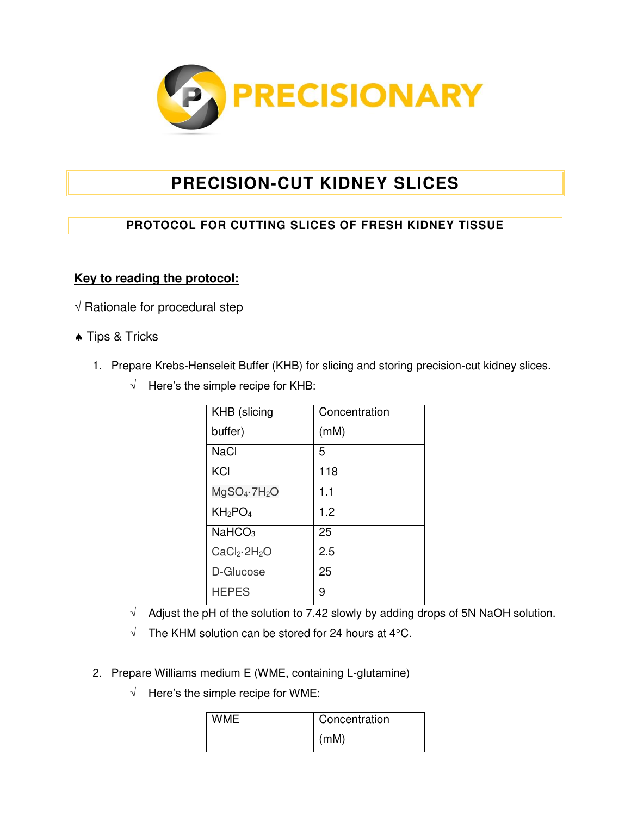

## **PRECISION-CUT KIDNEY SLICES**

## **PROTOCOL FOR CUTTING SLICES OF FRESH KIDNEY TISSUE**

## **Key to reading the protocol:**

- $\sqrt{R}$  Rationale for procedural step
- **A** Tips & Tricks
	- 1. Prepare Krebs-Henseleit Buffer (KHB) for slicing and storing precision-cut kidney slices.
		- $\sqrt{\phantom{a}}$  Here's the simple recipe for KHB:

| KHB (slicing                         | Concentration |
|--------------------------------------|---------------|
| buffer)                              | (mM)          |
| <b>NaCl</b>                          | 5             |
| KCI                                  | 118           |
| $MgSO_4 \cdot 7H_2O$                 | 1.1           |
| KH <sub>2</sub> PO <sub>4</sub>      | 1.2           |
| NaHCO <sub>3</sub>                   | 25            |
| CaCl <sub>2</sub> ·2H <sub>2</sub> O | 2.5           |
| D-Glucose                            | 25            |
| <b>HEPES</b>                         | 9             |

- $\sqrt{\phantom{a}}$  Adjust the pH of the solution to 7.42 slowly by adding drops of 5N NaOH solution.
- $\sqrt{ }$  The KHM solution can be stored for 24 hours at 4 °C.
- 2. Prepare Williams medium E (WME, containing L-glutamine)
	- $\sqrt{\phantom{a}}$  Here's the simple recipe for WME:

| <b>WME</b> | Concentration |
|------------|---------------|
|            | (mM)          |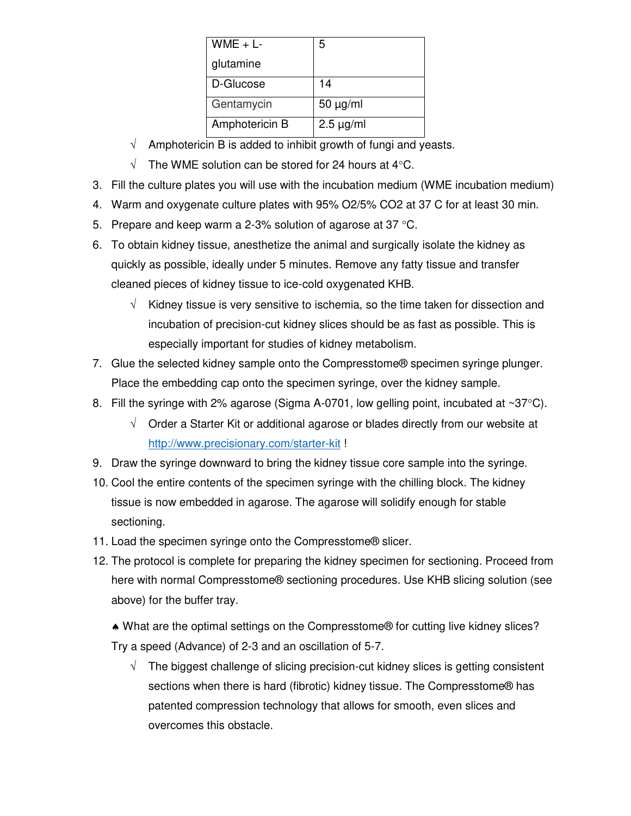| $WME + L$      | 5              |
|----------------|----------------|
| glutamine      |                |
| D-Glucose      | 14             |
| Gentamycin     | $50 \mu g/ml$  |
| Amphotericin B | $2.5 \mu g/ml$ |

- $\sqrt{ }$  Amphotericin B is added to inhibit growth of fungi and yeasts.
- $\sqrt{ }$  The WME solution can be stored for 24 hours at 4°C.
- 3. Fill the culture plates you will use with the incubation medium (WME incubation medium)
- 4. Warm and oxygenate culture plates with 95% O2/5% CO2 at 37 C for at least 30 min.
- 5. Prepare and keep warm a 2-3% solution of agarose at 37  $\degree$ C.
- 6. To obtain kidney tissue, anesthetize the animal and surgically isolate the kidney as quickly as possible, ideally under 5 minutes. Remove any fatty tissue and transfer cleaned pieces of kidney tissue to ice-cold oxygenated KHB.
	- $\sqrt{\phantom{a}}$  Kidney tissue is very sensitive to ischemia, so the time taken for dissection and incubation of precision-cut kidney slices should be as fast as possible. This is especially important for studies of kidney metabolism.
- 7. Glue the selected kidney sample onto the Compresstome® specimen syringe plunger. Place the embedding cap onto the specimen syringe, over the kidney sample.
- 8. Fill the syringe with 2% agarose (Sigma A-0701, low gelling point, incubated at  $\sim 37^{\circ}$ C).
	- $\sqrt{ }$  Order a Starter Kit or additional agarose or blades directly from our website at <http://www.precisionary.com/starter-kit>!
- 9. Draw the syringe downward to bring the kidney tissue core sample into the syringe.
- 10. Cool the entire contents of the specimen syringe with the chilling block. The kidney tissue is now embedded in agarose. The agarose will solidify enough for stable sectioning.
- 11. Load the specimen syringe onto the Compresstome® slicer.
- 12. The protocol is complete for preparing the kidney specimen for sectioning. Proceed from here with normal Compresstome® sectioning procedures. Use KHB slicing solution (see above) for the buffer tray.
	- What are the optimal settings on the Compresstome® for cutting live kidney slices? Try a speed (Advance) of 2-3 and an oscillation of 5-7.
		- $\sqrt{ }$  The biggest challenge of slicing precision-cut kidney slices is getting consistent sections when there is hard (fibrotic) kidney tissue. The Compresstome® has patented compression technology that allows for smooth, even slices and overcomes this obstacle.